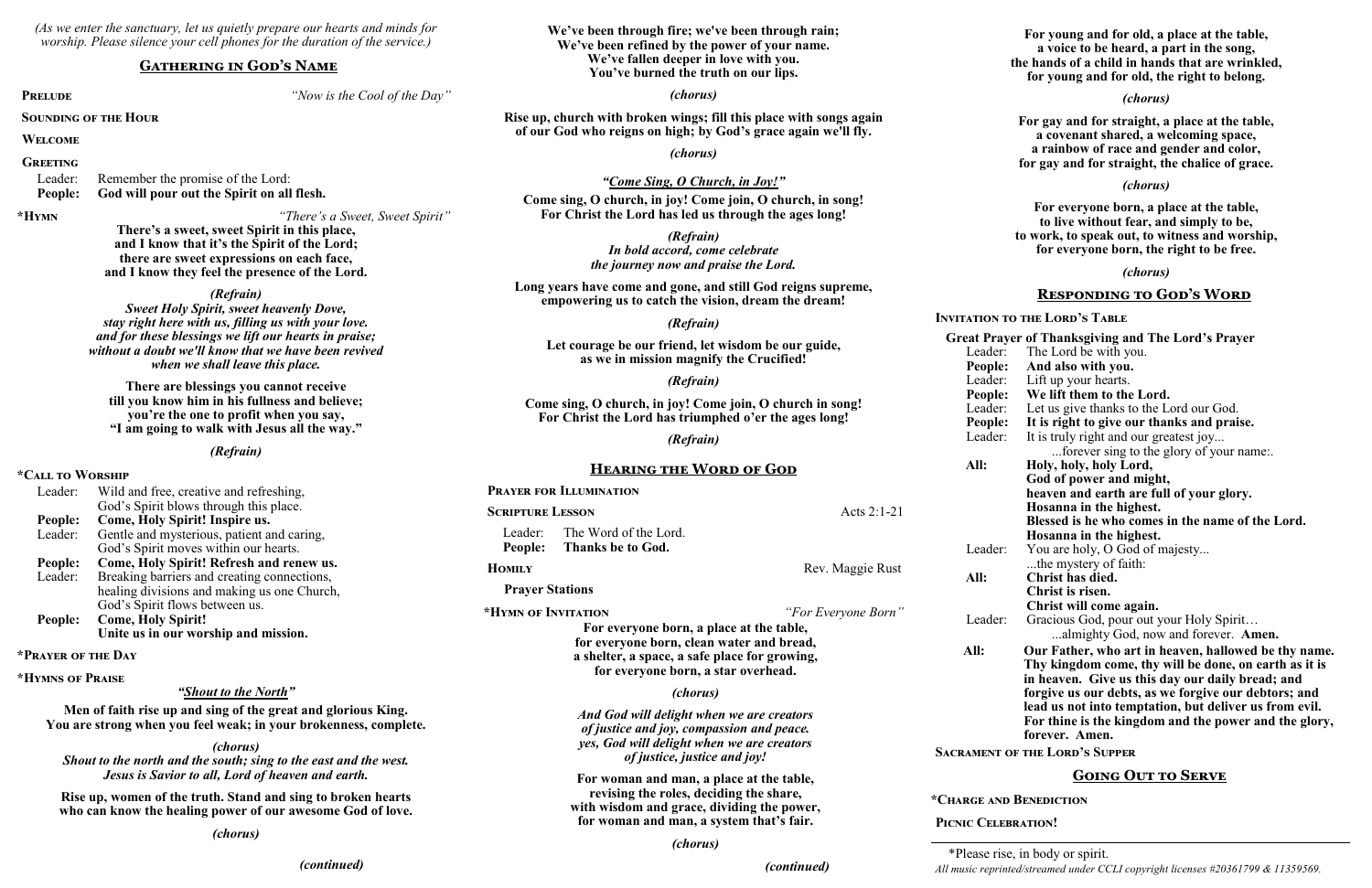*(As we enter the sanctuary, let us quietly prepare our hearts and minds for worship. Please silence your cell phones for the duration of the service.)*

#### **Gathering in God's Name**

**PRELUDE** *PRELUDE PRELUDE PRELUDE PHONE PHONE PHONE PHONE PHONE PHONE PHONE PHONE PHONE PHONE PHONE PHONE PHONE PHONE PHONE PHONE PHONE PHON* 

**Sounding of the Hour**

**Welcome**

#### **Greeting**

Leader: Remember the promise of the Lord: **People: God will pour out the Spirit on all flesh.**

**\*Hymn** *"There's a Sweet, Sweet Spirit"*

**There's a sweet, sweet Spirit in this place, and I know that it's the Spirit of the Lord; there are sweet expressions on each face, and I know they feel the presence of the Lord.**

*(Refrain)*

*Sweet Holy Spirit, sweet heavenly Dove, stay right here with us, filling us with your love. and for these blessings we lift our hearts in praise; without a doubt we'll know that we have been revived when we shall leave this place.*

**There are blessings you cannot receive till you know him in his fullness and believe; you're the one to profit when you say, "I am going to walk with Jesus all the way."**

*(Refrain)*

## **\*Call to Worship**

| Leader: | Wild and free, creative and refreshing,     |  |  |
|---------|---------------------------------------------|--|--|
|         | God's Spirit blows through this place.      |  |  |
| People: | Come, Holy Spirit! Inspire us.              |  |  |
| Leader: | Gentle and mysterious, patient and caring,  |  |  |
|         | God's Spirit moves within our hearts.       |  |  |
| People: | Come, Holy Spirit! Refresh and renew us.    |  |  |
| Leader: | Breaking barriers and creating connections, |  |  |
|         | healing divisions and making us one Church, |  |  |
|         | God's Spirit flows between us.              |  |  |
| People: | <b>Come, Holy Spirit!</b>                   |  |  |
|         | Unite us in our worship and mission.        |  |  |

#### **\*Prayer of the Day**

**\*Hymns of Praise**

#### *"Shout to the North"*

**Men of faith rise up and sing of the great and glorious King. You are strong when you feel weak; in your brokenness, complete.**

*(chorus)*

*Shout to the north and the south; sing to the east and the west. Jesus is Savior to all, Lord of heaven and earth.*

**Rise up, women of the truth. Stand and sing to broken hearts who can know the healing power of our awesome God of love.**

*(chorus)*

*(continued)*

**We've been through fire; we've been through rain; We've been refined by the power of your name. We've fallen deeper in love with you. You've burned the truth on our lips.**

#### *(chorus)*

**Rise up, church with broken wings; fill this place with songs again of our God who reigns on high; by God's grace again we'll fly.**

*(chorus)*

#### *"Come Sing, O Church, in Joy!"*

**Come sing, O church, in joy! Come join, O church, in song! For Christ the Lord has led us through the ages long!**

> *(Refrain) In bold accord, come celebrate the journey now and praise the Lord.*

**Long years have come and gone, and still God reigns supreme, empowering us to catch the vision, dream the dream!**

#### *(Refrain)*

**Let courage be our friend, let wisdom be our guide, as we in mission magnify the Crucified!**

*(Refrain)*

**Come sing, O church, in joy! Come join, O church in song! For Christ the Lord has triumphed o'er the ages long!**

*(Refrain)*

#### **Hearing the Word of God**

|                                                                                                                                                                                                                             | <b>PRAYER FOR ILLUMINATION</b>                                                                                                                                                |                  |                                                                                                                                     |
|-----------------------------------------------------------------------------------------------------------------------------------------------------------------------------------------------------------------------------|-------------------------------------------------------------------------------------------------------------------------------------------------------------------------------|------------------|-------------------------------------------------------------------------------------------------------------------------------------|
| <b>SCRIPTURE LESSON</b>                                                                                                                                                                                                     |                                                                                                                                                                               | Acts 2:1-21      |                                                                                                                                     |
| Leader:<br>People:                                                                                                                                                                                                          | The Word of the Lord.<br>Thanks be to God.                                                                                                                                    |                  | Leader:                                                                                                                             |
| <b>HOMILY</b>                                                                                                                                                                                                               |                                                                                                                                                                               | Rev. Maggie Rust | All:                                                                                                                                |
| <b>Prayer Stations</b>                                                                                                                                                                                                      |                                                                                                                                                                               |                  |                                                                                                                                     |
| *HYMN OF INVITATION<br>"For Everyone Born"<br>For everyone born, a place at the table,<br>for everyone born, clean water and bread,<br>a shelter, a space, a safe place for growing,<br>for everyone born, a star overhead. |                                                                                                                                                                               |                  | Leader:<br>All:                                                                                                                     |
|                                                                                                                                                                                                                             | <i>(chorus)</i>                                                                                                                                                               |                  |                                                                                                                                     |
|                                                                                                                                                                                                                             | <b>SACRAMENT OF</b>                                                                                                                                                           |                  |                                                                                                                                     |
|                                                                                                                                                                                                                             | For woman and man, a place at the table,<br>revising the roles, deciding the share,<br>with wisdom and grace, dividing the power,<br>for woman and man, a system that's fair. |                  | *CHARGE AND I<br><b>PICNIC CELEBR</b>                                                                                               |
|                                                                                                                                                                                                                             | (chorus)                                                                                                                                                                      |                  | $\mathbf{a}$ and $\mathbf{a}$ and $\mathbf{a}$ and $\mathbf{a}$ and $\mathbf{a}$ and $\mathbf{a}$ and $\mathbf{a}$ and $\mathbf{a}$ |

*(continued)*

**For young and for old, a place at the table, a voice to be heard, a part in the song, the hands of a child in hands that are wrinkled, for young and for old, the right to belong.**

#### *(chorus)*

**For gay and for straight, a place at the table, a covenant shared, a welcoming space, a rainbow of race and gender and color, for gay and for straight, the chalice of grace.**

#### *(chorus)*

**For everyone born, a place at the table, to live without fear, and simply to be, to work, to speak out, to witness and worship, for everyone born, the right to be free.**

#### *(chorus)*

#### **Responding to God's Word**

#### **Invitation to the Lord's Table**

**Great Prayer of Thanksgiving and The Lord's Prayer** Leader: The Lord be with you. **People: And also with you.** Leader: Lift up your hearts. **People: We lift them to the Lord.** Leader: Let us give thanks to the Lord our God. **People: It is right to give our thanks and praise.** Leader: It is truly right and our greatest joy... ...forever sing to the glory of your name:. **All: Holy, holy, holy Lord, God of power and might, heaven and earth are full of your glory. Hosanna in the highest. Blessed is he who comes in the name of the Lord. Hosanna in the highest.** You are holy, O God of majesty... ...the mystery of faith: **All: Christ has died. Christ is risen. Christ will come again.** Gracious God, pour out your Holy Spirit... ...almighty God, now and forever. **Amen. All: Our Father, who art in heaven, hallowed be thy name. Thy kingdom come, thy will be done, on earth as it is in heaven. Give us this day our daily bread; and forgive us our debts, as we forgive our debtors; and lead us not into temptation, but deliver us from evil.** 

> **For thine is the kingdom and the power and the glory, forever. Amen.**

**Sacrament of the Lord's Supper**

#### **Going Out to Serve**

#### **BENEDICTION**

#### **PATION!**